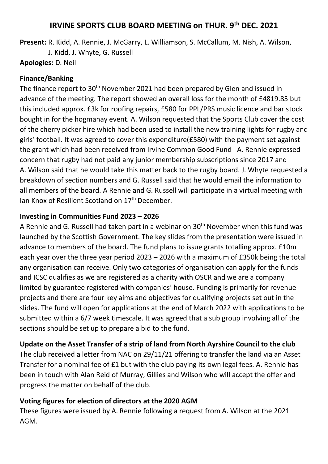## **IRVINE SPORTS CLUB BOARD MEETING on THUR. 9th DEC. 2021**

**Present:** R. Kidd, A. Rennie, J. McGarry, L. Williamson, S. McCallum, M. Nish, A. Wilson, J. Kidd, J. Whyte, G. Russell

## **Apologies:** D. Neil

### **Finance/Banking**

The finance report to 30<sup>th</sup> November 2021 had been prepared by Glen and issued in advance of the meeting. The report showed an overall loss for the month of £4819.85 but this included approx. £3k for roofing repairs, £580 for PPL/PRS music licence and bar stock bought in for the hogmanay event. A. Wilson requested that the Sports Club cover the cost of the cherry picker hire which had been used to install the new training lights for rugby and girls' football. It was agreed to cover this expenditure(£580) with the payment set against the grant which had been received from Irvine Common Good Fund A. Rennie expressed concern that rugby had not paid any junior membership subscriptions since 2017 and A. Wilson said that he would take this matter back to the rugby board. J. Whyte requested a breakdown of section numbers and G. Russell said that he would email the information to all members of the board. A Rennie and G. Russell will participate in a virtual meeting with Ian Knox of Resilient Scotland on 17<sup>th</sup> December.

## **Investing in Communities Fund 2023 – 2026**

A Rennie and G. Russell had taken part in a webinar on 30<sup>th</sup> November when this fund was launched by the Scottish Government. The key slides from the presentation were issued in advance to members of the board. The fund plans to issue grants totalling approx. £10m each year over the three year period 2023 – 2026 with a maximum of £350k being the total any organisation can receive. Only two categories of organisation can apply for the funds and ICSC qualifies as we are registered as a charity with OSCR and we are a company limited by guarantee registered with companies' house. Funding is primarily for revenue projects and there are four key aims and objectives for qualifying projects set out in the slides. The fund will open for applications at the end of March 2022 with applications to be submitted within a 6/7 week timescale. It was agreed that a sub group involving all of the sections should be set up to prepare a bid to the fund.

# **Update on the Asset Transfer of a strip of land from North Ayrshire Council to the club**

The club received a letter from NAC on 29/11/21 offering to transfer the land via an Asset Transfer for a nominal fee of £1 but with the club paying its own legal fees. A. Rennie has been in touch with Alan Reid of Murray, Gillies and Wilson who will accept the offer and progress the matter on behalf of the club.

# **Voting figures for election of directors at the 2020 AGM**

These figures were issued by A. Rennie following a request from A. Wilson at the 2021 AGM.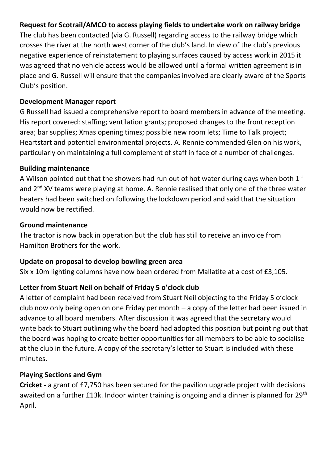## **Request for Scotrail/AMCO to access playing fields to undertake work on railway bridge**

The club has been contacted (via G. Russell) regarding access to the railway bridge which crosses the river at the north west corner of the club's land. In view of the club's previous negative experience of reinstatement to playing surfaces caused by access work in 2015 it was agreed that no vehicle access would be allowed until a formal written agreement is in place and G. Russell will ensure that the companies involved are clearly aware of the Sports Club's position.

#### **Development Manager report**

G Russell had issued a comprehensive report to board members in advance of the meeting. His report covered: staffing; ventilation grants; proposed changes to the front reception area; bar supplies; Xmas opening times; possible new room lets; Time to Talk project; Heartstart and potential environmental projects. A. Rennie commended Glen on his work, particularly on maintaining a full complement of staff in face of a number of challenges.

#### **Building maintenance**

A Wilson pointed out that the showers had run out of hot water during days when both  $1<sup>st</sup>$ and 2<sup>nd</sup> XV teams were playing at home. A. Rennie realised that only one of the three water heaters had been switched on following the lockdown period and said that the situation would now be rectified.

#### **Ground maintenance**

The tractor is now back in operation but the club has still to receive an invoice from Hamilton Brothers for the work.

## **Update on proposal to develop bowling green area**

Six x 10m lighting columns have now been ordered from Mallatite at a cost of £3,105.

## **Letter from Stuart Neil on behalf of Friday 5 o'clock club**

A letter of complaint had been received from Stuart Neil objecting to the Friday 5 o'clock club now only being open on one Friday per month – a copy of the letter had been issued in advance to all board members. After discussion it was agreed that the secretary would write back to Stuart outlining why the board had adopted this position but pointing out that the board was hoping to create better opportunities for all members to be able to socialise at the club in the future. A copy of the secretary's letter to Stuart is included with these minutes.

## **Playing Sections and Gym**

**Cricket -** a grant of £7,750 has been secured for the pavilion upgrade project with decisions awaited on a further £13k. Indoor winter training is ongoing and a dinner is planned for 29<sup>th</sup> April.